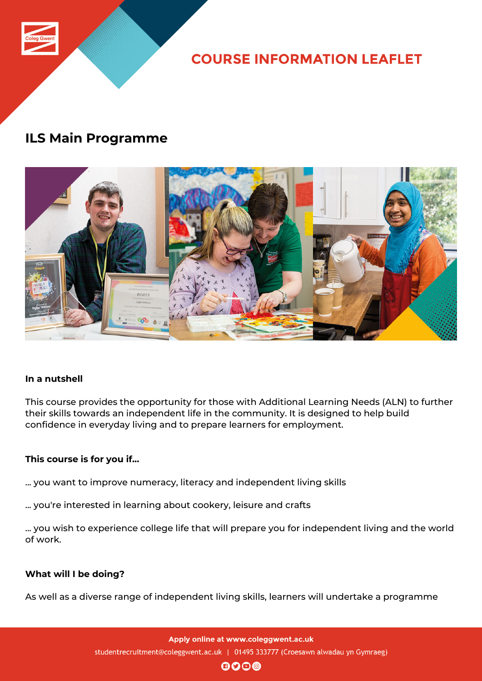

**COURSE INFORMATION LEAFLET** 

# **ILS Main Programme**



## **In a nutshell**

This course provides the opportunity for those with Additional Learning Needs (ALN) to further their skills towards an independent life in the community. It is designed to help build confidence in everyday living and to prepare learners for employment.

## **This course is for you if...**

... you want to improve numeracy, literacy and independent living skills

... you're interested in learning about cookery, leisure and crafts

... you wish to experience college life that will prepare you for independent living and the world of work.

## **What will I be doing?**

As well as a diverse range of independent living skills, learners will undertake a programme

Apply online at www.coleggwent.ac.uk studentrecruitment@coleggwent.ac.uk | 01495 333777 (Croesawn alwadau yn Gymraeg)

 $\mathbf{0}$  $\mathbf{0}$  $\mathbf{0}$